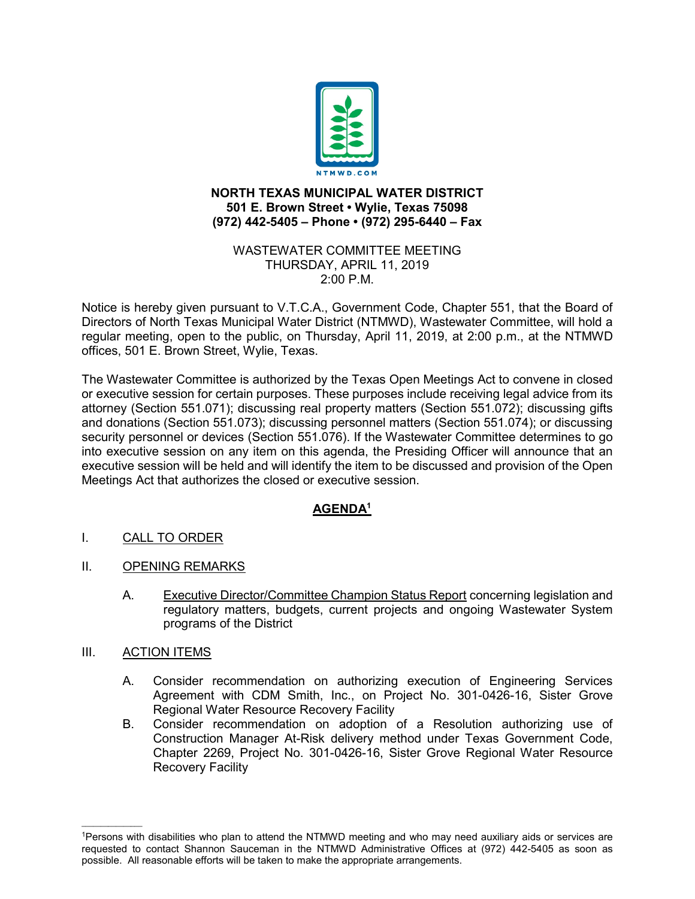

## **NORTH TEXAS MUNICIPAL WATER DISTRICT 501 E. Brown Street • Wylie, Texas 75098 (972) 442-5405 – Phone • (972) 295-6440 – Fax**

## WASTEWATER COMMITTEE MEETING THURSDAY, APRIL 11, 2019 2:00 P.M.

Notice is hereby given pursuant to V.T.C.A., Government Code, Chapter 551, that the Board of Directors of North Texas Municipal Water District (NTMWD), Wastewater Committee, will hold a regular meeting, open to the public, on Thursday, April 11, 2019, at 2:00 p.m., at the NTMWD offices, 501 E. Brown Street, Wylie, Texas.

The Wastewater Committee is authorized by the Texas Open Meetings Act to convene in closed or executive session for certain purposes. These purposes include receiving legal advice from its attorney (Section 551.071); discussing real property matters (Section 551.072); discussing gifts and donations (Section 551.073); discussing personnel matters (Section 551.074); or discussing security personnel or devices (Section 551.076). If the Wastewater Committee determines to go into executive session on any item on this agenda, the Presiding Officer will announce that an executive session will be held and will identify the item to be discussed and provision of the Open Meetings Act that authorizes the closed or executive session.

## **AGENDA1**

- I. CALL TO ORDER
- II. OPENING REMARKS
	- A. Executive Director/Committee Champion Status Report concerning legislation and regulatory matters, budgets, current projects and ongoing Wastewater System programs of the District
- III. ACTION ITEMS

 $\overline{\phantom{a}}$ 

- A. Consider recommendation on authorizing execution of Engineering Services Agreement with CDM Smith, Inc., on Project No. 301-0426-16, Sister Grove Regional Water Resource Recovery Facility
- B. Consider recommendation on adoption of a Resolution authorizing use of Construction Manager At-Risk delivery method under Texas Government Code, Chapter 2269, Project No. 301-0426-16, Sister Grove Regional Water Resource Recovery Facility

<sup>1</sup>Persons with disabilities who plan to attend the NTMWD meeting and who may need auxiliary aids or services are requested to contact Shannon Sauceman in the NTMWD Administrative Offices at (972) 442-5405 as soon as possible. All reasonable efforts will be taken to make the appropriate arrangements.